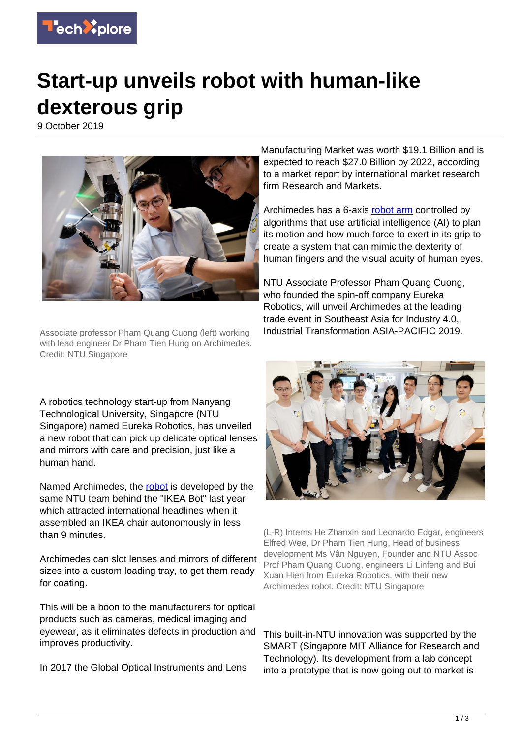

## **Start-up unveils robot with human-like dexterous grip**

9 October 2019



Associate professor Pham Quang Cuong (left) working with lead engineer Dr Pham Tien Hung on Archimedes. Credit: NTU Singapore

A robotics technology start-up from Nanyang Technological University, Singapore (NTU Singapore) named Eureka Robotics, has unveiled a new robot that can pick up delicate optical lenses and mirrors with care and precision, just like a human hand.

Named Archimedes, the [robot](https://techxplore.com/tags/robot/) is developed by the same NTU team behind the "IKEA Bot" last year which attracted international headlines when it assembled an IKEA chair autonomously in less than 9 minutes.

Archimedes can slot lenses and mirrors of different sizes into a custom loading tray, to get them ready for coating.

This will be a boon to the manufacturers for optical products such as cameras, medical imaging and eyewear, as it eliminates defects in production and improves productivity.

In 2017 the Global Optical Instruments and Lens

Manufacturing Market was worth \$19.1 Billion and is expected to reach \$27.0 Billion by 2022, according to a market report by international market research firm Research and Markets.

Archimedes has a 6-axis [robot arm](https://techxplore.com/tags/robot+arm/) controlled by algorithms that use artificial intelligence (AI) to plan its motion and how much force to exert in its grip to create a system that can mimic the dexterity of human fingers and the visual acuity of human eyes.

NTU Associate Professor Pham Quang Cuong, who founded the spin-off company Eureka Robotics, will unveil Archimedes at the leading trade event in Southeast Asia for Industry 4.0, Industrial Transformation ASIA-PACIFIC 2019.



(L-R) Interns He Zhanxin and Leonardo Edgar, engineers Elfred Wee, Dr Pham Tien Hung, Head of business development Ms Vân Nguyen, Founder and NTU Assoc Prof Pham Quang Cuong, engineers Li Linfeng and Bui Xuan Hien from Eureka Robotics, with their new Archimedes robot. Credit: NTU Singapore

This built-in-NTU innovation was supported by the SMART (Singapore MIT Alliance for Research and Technology). Its development from a lab concept into a prototype that is now going out to market is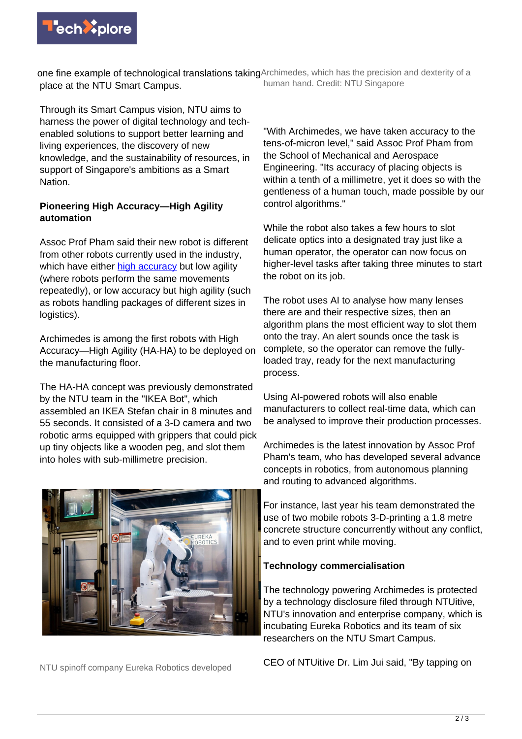

one fine example of technological translations takingArchimedes, which has the precision and dexterity of a place at the NTU Smart Campus. human hand. Credit: NTU Singapore

Through its Smart Campus vision, NTU aims to harness the power of digital technology and techenabled solutions to support better learning and living experiences, the discovery of new knowledge, and the sustainability of resources, in support of Singapore's ambitions as a Smart Nation.

## **Pioneering High Accuracy—High Agility automation**

Assoc Prof Pham said their new robot is different from other robots currently used in the industry, which have either **high accuracy** but low agility (where robots perform the same movements repeatedly), or low accuracy but high agility (such as robots handling packages of different sizes in logistics).

Archimedes is among the first robots with High Accuracy—High Agility (HA-HA) to be deployed on the manufacturing floor.

The HA-HA concept was previously demonstrated by the NTU team in the "IKEA Bot", which assembled an IKEA Stefan chair in 8 minutes and 55 seconds. It consisted of a 3-D camera and two robotic arms equipped with grippers that could pick up tiny objects like a wooden peg, and slot them into holes with sub-millimetre precision.



NTU spinoff company Eureka Robotics developed

"With Archimedes, we have taken accuracy to the tens-of-micron level," said Assoc Prof Pham from the School of Mechanical and Aerospace Engineering. "Its accuracy of placing objects is within a tenth of a millimetre, yet it does so with the gentleness of a human touch, made possible by our control algorithms."

While the robot also takes a few hours to slot delicate optics into a designated tray just like a human operator, the operator can now focus on higher-level tasks after taking three minutes to start the robot on its job.

The robot uses AI to analyse how many lenses there are and their respective sizes, then an algorithm plans the most efficient way to slot them onto the tray. An alert sounds once the task is complete, so the operator can remove the fullyloaded tray, ready for the next manufacturing process.

Using AI-powered robots will also enable manufacturers to collect real-time data, which can be analysed to improve their production processes.

Archimedes is the latest innovation by Assoc Prof Pham's team, who has developed several advance concepts in robotics, from autonomous planning and routing to advanced algorithms.

For instance, last year his team demonstrated the use of two mobile robots 3-D-printing a 1.8 metre concrete structure concurrently without any conflict, and to even print while moving.

## **Technology commercialisation**

The technology powering Archimedes is protected by a technology disclosure filed through NTUitive, NTU's innovation and enterprise company, which is incubating Eureka Robotics and its team of six researchers on the NTU Smart Campus.

CEO of NTUitive Dr. Lim Jui said, "By tapping on